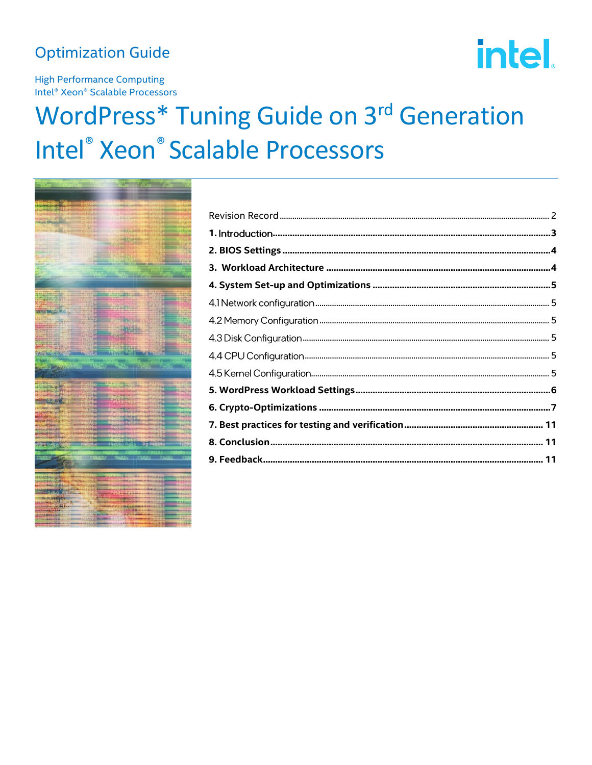### **Optimization Guide**

# intel.

**High Performance Computing** Intel<sup>®</sup> Xeon<sup>®</sup> Scalable Processors

## **WordPress\* Tuning Guide on 3rd Generation** Intel<sup>®</sup> Xeon<sup>®</sup> Scalable Processors

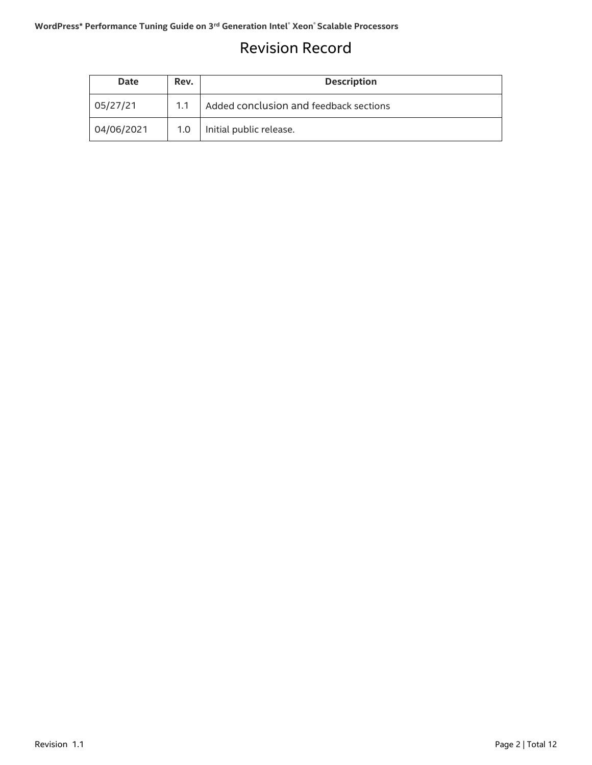### <span id="page-1-0"></span>Revision Record

| <b>Date</b> | Rev. | <b>Description</b>                     |
|-------------|------|----------------------------------------|
| 05/27/21    | 1.1  | Added conclusion and feedback sections |
| 04/06/2021  | 1.0  | Initial public release.                |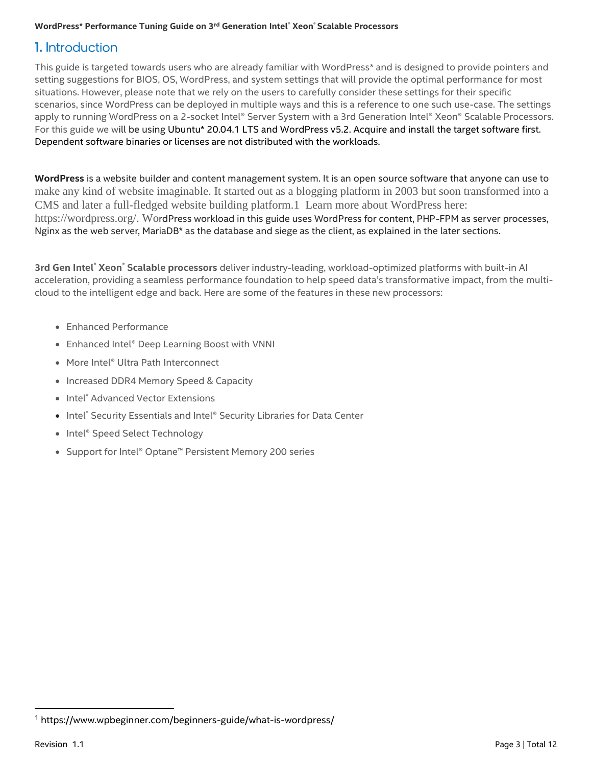### <span id="page-2-0"></span>**1.** Introduction

This guide is targeted towards users who are already familiar with WordPress\* and is designed to provide pointers and setting suggestions for BIOS, OS, WordPress, and system settings that will provide the optimal performance for most situations. However, please note that we rely on the users to carefully consider these settings for their specific scenarios, since WordPress can be deployed in multiple ways and this is a reference to one such use-case. The settings apply to running WordPress on a 2-socket Intel® Server System with a 3rd Generation Intel® Xeon® Scalable Processors. For this guide we will be using Ubuntu\* 20.04.1 LTS and WordPress v5.2. Acquire and install the target software first. Dependent software binaries or licenses are not distributed with the workloads.

**WordPress** is a website builder and content management system. It is an open source software that anyone can use to make any kind of website imaginable. It started out as a blogging platform in 2003 but soon transformed into a CMS and later a full-fledged website building platform.1 Learn more about WordPress here: [https://wordpress.org/.](https://wordpress.org/) WordPress workload in this guide uses WordPress for content, PHP-FPM as server processes, Nginx as the web server, MariaDB\* as the database and siege as the client, as explained in the later sections.

**3rd Gen Intel**® **Xeon**® **Scalable processors** deliver industry-leading, workload-optimized platforms with built-in AI acceleration, providing a seamless performance foundation to help speed data's transformative impact, from the multicloud to the intelligent edge and back. Here are some of the features in these new processors:

- Enhanced Performance
- Enhanced Intel® Deep Learning Boost with VNNI
- More Intel® Ultra Path Interconnect
- Increased DDR4 Memory Speed & Capacity
- Intel<sup>®</sup> Advanced Vector Extensions
- Intel® Security Essentials and Intel® Security Libraries for Data Center
- Intel® Speed Select Technology
- Support for Intel® Optane™ Persistent Memory 200 series

<sup>1</sup> https://www.wpbeginner.com/beginners-guide/what-is-wordpress/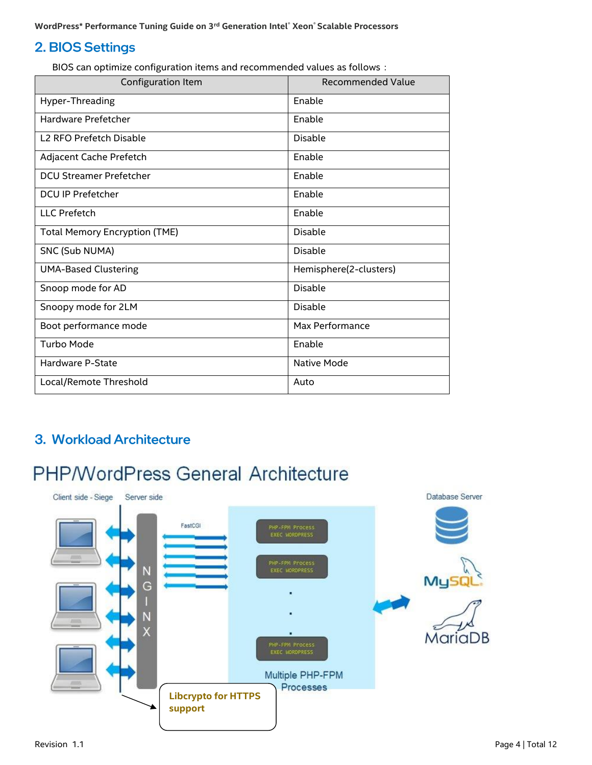### <span id="page-3-0"></span>2. BIOS Settings

BIOS can optimize configuration items and recommended values as follows:

| Configuration Item                   | <b>Recommended Value</b> |
|--------------------------------------|--------------------------|
| Hyper-Threading                      | Enable                   |
| Hardware Prefetcher                  | Enable                   |
| L <sub>2</sub> RFO Prefetch Disable  | <b>Disable</b>           |
| Adjacent Cache Prefetch              | Enable                   |
| <b>DCU Streamer Prefetcher</b>       | Enable                   |
| <b>DCU IP Prefetcher</b>             | Enable                   |
| LLC Prefetch                         | Enable                   |
| <b>Total Memory Encryption (TME)</b> | <b>Disable</b>           |
| SNC (Sub NUMA)                       | <b>Disable</b>           |
| <b>UMA-Based Clustering</b>          | Hemisphere(2-clusters)   |
| Snoop mode for AD                    | <b>Disable</b>           |
| Snoopy mode for 2LM                  | <b>Disable</b>           |
| Boot performance mode                | Max Performance          |
| Turbo Mode                           | Enable                   |
| Hardware P-State                     | Native Mode              |
| Local/Remote Threshold               | Auto                     |

### <span id="page-3-1"></span>3. Workload Architecture

### **PHP/WordPress General Architecture**

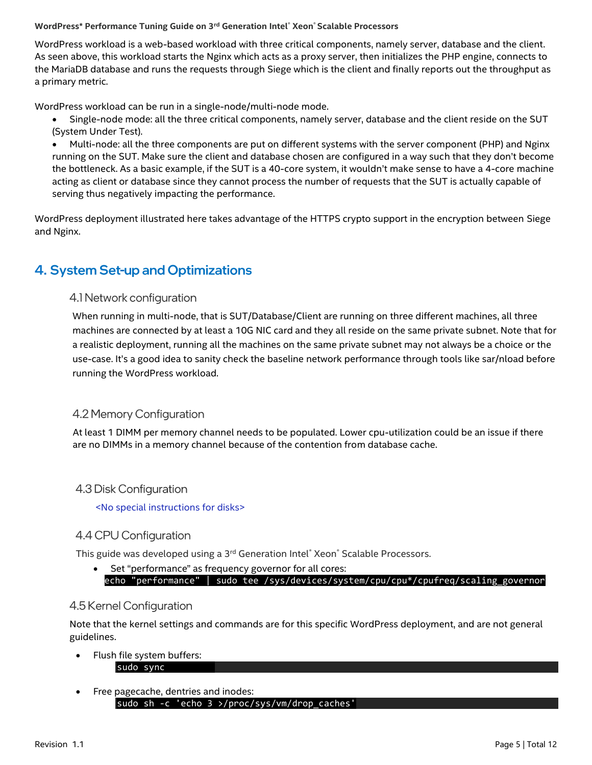WordPress workload is a web-based workload with three critical components, namely server, database and the client. As seen above, this workload starts the Nginx which acts as a proxy server, then initializes the PHP engine, connects to the MariaDB database and runs the requests through Siege which is the client and finally reports out the throughput as a primary metric.

WordPress workload can be run in a single-node/multi-node mode.

- Single-node mode: all the three critical components, namely server, database and the client reside on the SUT (System Under Test).
- Multi-node: all the three components are put on different systems with the server component (PHP) and Nginx running on the SUT. Make sure the client and database chosen are configured in a way such that they don't become the bottleneck. As a basic example, if the SUT is a 40-core system, it wouldn't make sense to have a 4-core machine acting as client or database since they cannot process the number of requests that the SUT is actually capable of serving thus negatively impacting the performance.

WordPress deployment illustrated here takes advantage of the HTTPS crypto support in the encryption between Siege and Nginx.

### <span id="page-4-1"></span><span id="page-4-0"></span>4. System Set-up and Optimizations

### 4.1 Network configuration

When running in multi-node, that is SUT/Database/Client are running on three different machines, all three machines are connected by at least a 10G NIC card and they all reside on the same private subnet. Note that for a realistic deployment, running all the machines on the same private subnet may not always be a choice or the use-case. It's a good idea to sanity check the baseline network performance through tools like sar/nload before running the WordPress workload.

### <span id="page-4-2"></span>4.2 Memory Configuration

At least 1 DIMM per memory channel needs to be populated. Lower cpu-utilization could be an issue if there are no DIMMs in a memory channel because of the contention from database cache.

### <span id="page-4-3"></span>4.3 Disk Configuration

<No special instructions for disks>

### <span id="page-4-4"></span>4.4 CPU Configuration

This guide was developed using a 3<sup>rd</sup> Generation Intel<sup>®</sup> Xeon® Scalable Processors.

Set "performance" as frequency governor for all cores: echo "performance" | sudo tee /sys/devices/system/cpu/cpu\*/cpufreq/scaling\_governor

### <span id="page-4-5"></span>4.5 Kernel Configuration

Note that the kernel settings and commands are for this specific WordPress deployment, and are not general guidelines.

- Flush file system buffers: sudo sync
- Free pagecache, dentries and inodes: sudo sh -c 'echo 3 >/proc/sys/vm/drop\_caches'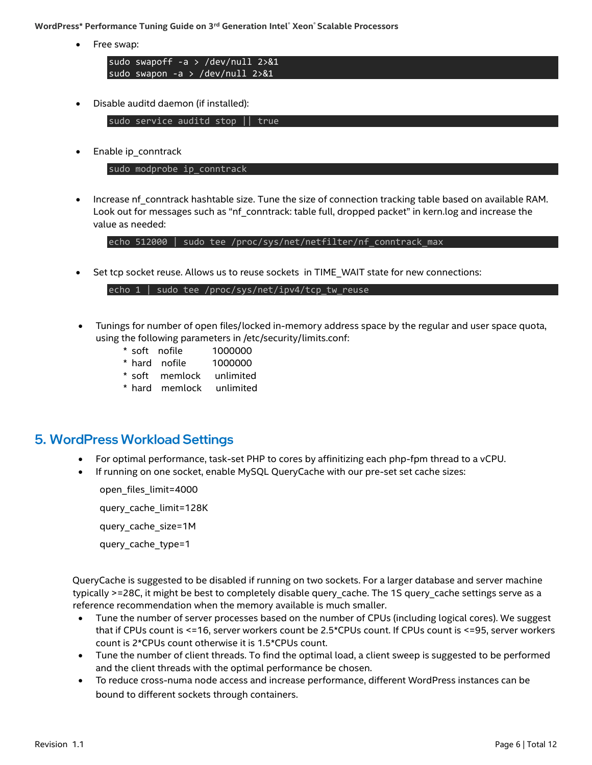• Free swap:

sudo swapoff -a > /dev/null 2>&1 sudo swapon -a > /dev/null 2>&1

• Disable auditd daemon (if installed):

sudo service auditd stop || true

• Enable ip\_conntrack

sudo modprobe ip\_conntrack

• Increase nf\_conntrack hashtable size. Tune the size of connection tracking table based on available RAM. Look out for messages such as "nf\_conntrack: table full, dropped packet" in kern.log and increase the value as needed:

echo 512000 | sudo tee /proc/sys/net/netfilter/nf conntrack max

Set tcp socket reuse. Allows us to reuse sockets in TIME\_WAIT state for new connections:

echo 1 | sudo tee /proc/sys/net/ipv4/tcp tw reuse

- Tunings for number of open files/locked in-memory address space by the regular and user space quota, using the following parameters in /etc/security/limits.conf:
	- \* soft nofile 1000000
	- \* hard nofile 1000000
	- \* soft memlock unlimited
	- \* hard memlock unlimited

### <span id="page-5-0"></span>**5. WordPress Workload Settings**

- For optimal performance, task-set PHP to cores by affinitizing each php-fpm thread to a vCPU.
- If running on one socket, enable MySQL QueryCache with our pre-set set cache sizes:

 open\_files\_limit=4000 query\_cache\_limit=128K

query\_cache\_size=1M

query\_cache\_type=1

 QueryCache is suggested to be disabled if running on two sockets. For a larger database and server machine typically >=28C, it might be best to completely disable query\_cache. The 1S query\_cache settings serve as a reference recommendation when the memory available is much smaller.

- Tune the number of server processes based on the number of CPUs (including logical cores). We suggest that if CPUs count is <=16, server workers count be 2.5\*CPUs count. If CPUs count is <=95, server workers count is 2\*CPUs count otherwise it is 1.5\*CPUs count.
- Tune the number of client threads. To find the optimal load, a client sweep is suggested to be performed and the client threads with the optimal performance be chosen.
- To reduce cross-numa node access and increase performance, different WordPress instances can be bound to different sockets through containers.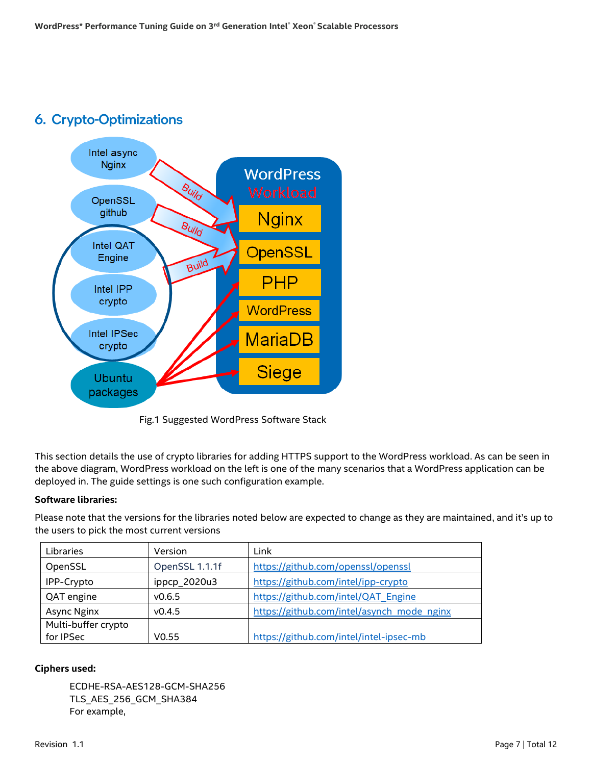### <span id="page-6-0"></span>**6. Crypto-Optimizations**



Fig.1 Suggested WordPress Software Stack

This section details the use of crypto libraries for adding HTTPS support to the WordPress workload. As can be seen in the above diagram, WordPress workload on the left is one of the many scenarios that a WordPress application can be deployed in. The guide settings is one such configuration example.

### **Software libraries:**

Please note that the versions for the libraries noted below are expected to change as they are maintained, and it's up to the users to pick the most current versions

| Libraries           | Version           | Link                                       |
|---------------------|-------------------|--------------------------------------------|
| OpenSSL             | OpenSSL 1.1.1f    | https://github.com/openssl/openssl         |
| IPP-Crypto          | ippcp_2020u3      | https://github.com/intel/ipp-crypto        |
| QAT engine          | V0.6.5            | https://github.com/intel/QAT_Engine        |
| Async Nginx         | v0.4.5            | https://github.com/intel/asynch_mode_nginx |
| Multi-buffer crypto |                   |                                            |
| for IPSec           | V <sub>0.55</sub> | https://github.com/intel/intel-ipsec-mb    |

### **Ciphers used:**

ECDHE-RSA-AES128-GCM-SHA256 TLS\_AES\_256\_GCM\_SHA384 For example,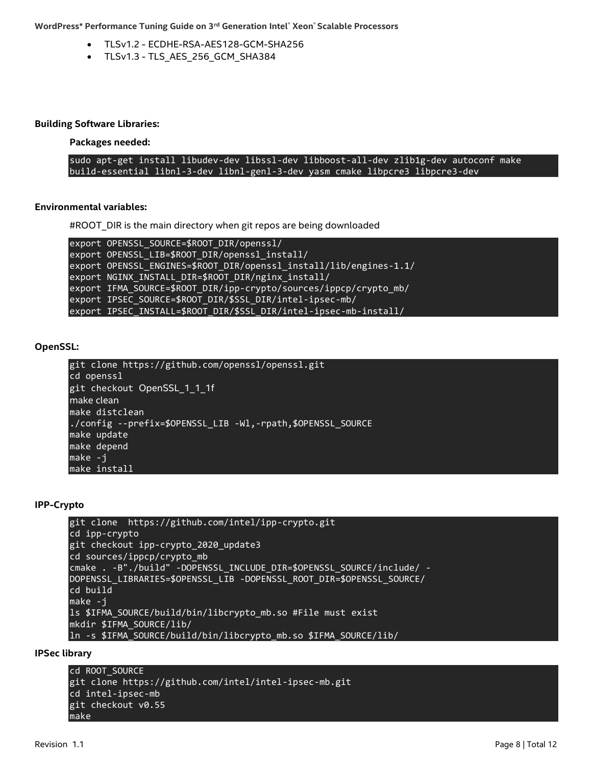- TLSv1.2 ECDHE-RSA-AES128-GCM-SHA256
- TLSv1.3 TLS\_AES\_256\_GCM\_SHA384

#### **Building Software Libraries:**

**Packages needed:**

sudo apt-get install libudev-dev libssl-dev libboost-all-dev zlib1g-dev autoconf make build-essential libnl-3-dev libnl-genl-3-dev yasm cmake libpcre3 libpcre3-dev

#### **Environmental variables:**

#ROOT\_DIR is the main directory when git repos are being downloaded

export OPENSSL\_SOURCE=\$ROOT\_DIR/openssl/ export OPENSSL\_LIB=\$ROOT\_DIR/openssl\_install/ export OPENSSL\_ENGINES=\$ROOT\_DIR/openssl\_install/lib/engines-1.1/ export NGINX INSTALL DIR=\$ROOT DIR/nginx install/ export IFMA\_SOURCE=\$ROOT\_DIR/ipp-crypto/sources/ippcp/crypto\_mb/ export IPSEC\_SOURCE=\$ROOT\_DIR/\$SSL\_DIR/intel-ipsec-mb/ export IPSEC\_INSTALL=\$ROOT\_DIR/\$SSL\_DIR/intel-ipsec-mb-install/

#### **OpenSSL:**

git clone https://github.com/openssl/openssl.git cd openssl git checkout OpenSSL\_1\_1\_1f make clean make distclean ./config --prefix=\$OPENSSL\_LIB -Wl,-rpath,\$OPENSSL\_SOURCE make update make depend make -j make install

#### **IPP-Crypto**

git clone [https://github.com/intel/ipp-crypto.](https://github.com/intel/ipp-crypto)git cd ipp-crypto git checkout ipp-crypto\_2020\_update3 cd sources/ippcp/crypto\_mb cmake . -B"./build" -DOPENSSL\_INCLUDE\_DIR=\$OPENSSL\_SOURCE/include/ - DOPENSSL\_LIBRARIES=\$OPENSSL\_LIB -DOPENSSL\_ROOT\_DIR=\$OPENSSL\_SOURCE/ cd build make -j ls \$IFMA\_SOURCE/build/bin/libcrypto\_mb.so #File must exist mkdir \$IFMA\_SOURCE/lib/ ln -s \$IFMA\_SOURCE/build/bin/libcrypto\_mb.so \$IFMA\_SOURCE/lib/

#### **IPSec library**

```
cd ROOT SOURCE
git clone https://github.com/intel/intel-ipsec-mb.git
cd intel-ipsec-mb
git checkout v0.55
make
```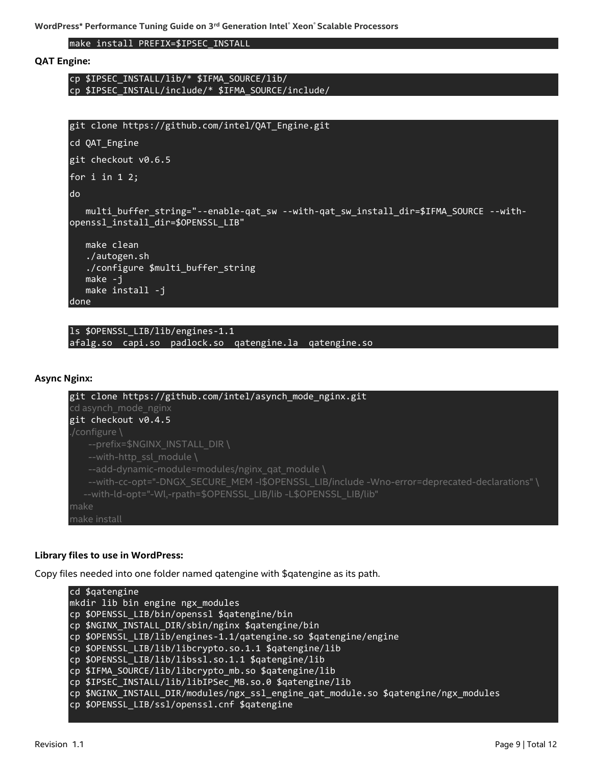make install PREFIX=\$IPSEC\_INSTALL

#### **QAT Engine:**

cp \$IPSEC\_INSTALL/lib/\* \$IFMA\_SOURCE/lib/ cp \$IPSEC\_INSTALL/include/\* \$IFMA\_SOURCE/include/



ls \$OPENSSL\_LIB/lib/engines-1.1 afalg.so capi.so padlock.so qatengine.la qatengine.so

#### **Async Nginx:**



#### **Library files to use in WordPress:**

Copy files needed into one folder named qatengine with \$qatengine as its path.

```
cd $qatengine
mkdir lib bin engine ngx_modules
cp $OPENSSL_LIB/bin/openssl $qatengine/bin
cp $NGINX_INSTALL_DIR/sbin/nginx $qatengine/bin 
cp $OPENSSL_LIB/lib/engines-1.1/qatengine.so $qatengine/engine
cp $OPENSSL_LIB/lib/libcrypto.so.1.1 $qatengine/lib
cp $OPENSSL_LIB/lib/libssl.so.1.1 $qatengine/lib
cp $IFMA_SOURCE/lib/libcrypto_mb.so $qatengine/lib 
cp $IPSEC_INSTALL/lib/libIPSec_MB.so.0 $qatengine/lib
cp $NGINX INSTALL DIR/modules/ngx ssl engine qat module.so $qatengine/ngx modules
cp $OPENSSL_LIB/ssl/openssl.cnf $qatengine
```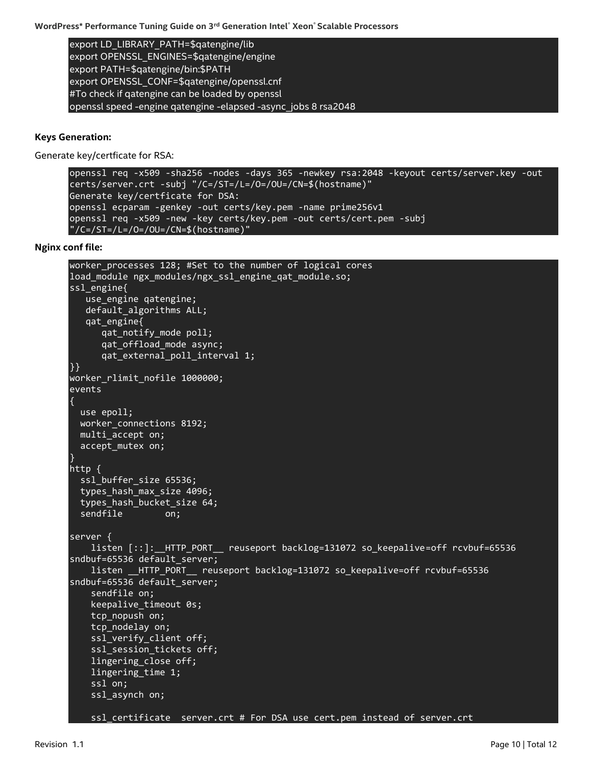export LD\_LIBRARY\_PATH=\$qatengine/lib export OPENSSL\_ENGINES=\$qatengine/engine export PATH=\$qatengine/bin:\$PATH export OPENSSL\_CONF=\$qatengine/openssl.cnf #To check if qatengine can be loaded by openssl openssl speed -engine qatengine -elapsed -async\_jobs 8 rsa2048

#### **Keys Generation:**

Generate key/certficate for RSA:

```
openssl req -x509 -sha256 -nodes -days 365 -newkey rsa:2048 -keyout certs/server.key -out 
certs/server.crt -subj "/C=/ST=/L=/O=/OU=/CN=$(hostname)"
Generate key/certficate for DSA:
openssl ecparam -genkey -out certs/key.pem -name prime256v1
openssl req -x509 -new -key certs/key.pem -out certs/cert.pem -subj 
T/C = /ST = /L = /O = /OU = /CN = $(hostname)"
```
**Nginx conf file:**

```
worker_processes 128; #Set to the number of logical cores
load_module ngx_modules/ngx_ssl_engine_qat_module.so;
ssl engine{
    use_engine qatengine;
    default_algorithms ALL;
    qat_engine{
       qat_notify_mode poll;
       qat_offload_mode async;
       qat_external_poll_interval 1;
}}
worker rlimit nofile 1000000;
events
{
   use epoll;
   worker_connections 8192;
  multi accept on;
   accept_mutex on;
}
http {
   ssl_buffer_size 65536;
   types_hash_max_size 4096;
  types hash bucket size 64;
  sendfile on;
server {
    listen [::]: HTTP PORT  reuseport backlog=131072 so keepalive=off rcvbuf=65536
sndbuf=65536 default server;
     listen __HTTP_PORT__ reuseport backlog=131072 so_keepalive=off rcvbuf=65536 
sndbuf=65536 default_server;
     sendfile on;
     keepalive_timeout 0s;
    tcp nopush on;
     tcp_nodelay on;
     ssl_verify_client off;
    ssl session tickets off;
     lingering_close off;
     lingering_time 1;
     ssl on;
     ssl_asynch on;
     ssl_certificate server.crt # For DSA use cert.pem instead of server.crt
```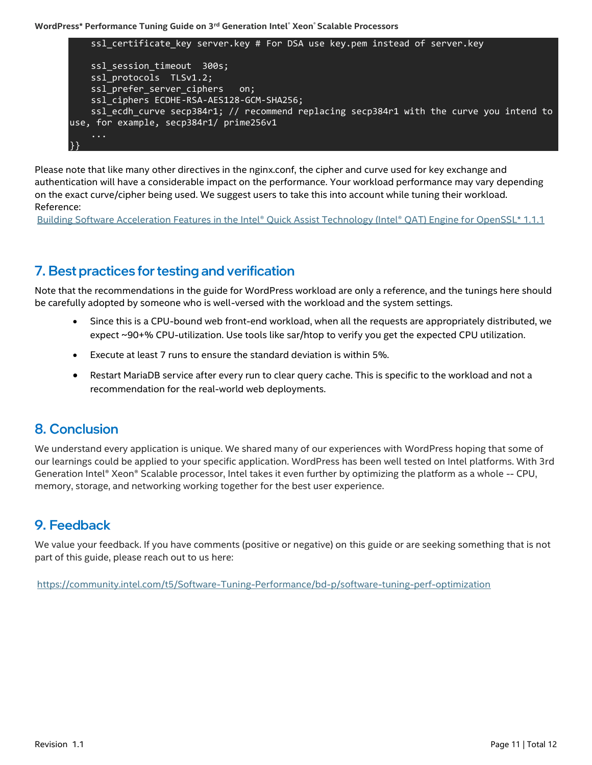

Please note that like many other directives in the nginx.conf, the cipher and curve used for key exchange and authentication will have a considerable impact on the performance. Your workload performance may vary depending on the exact curve/cipher being used. We suggest users to take this into account while tuning their workload. Reference:

[Building Software Acceleration Features in the Intel® Quick Assist Technology \(Intel® QAT\) Engine for OpenSSL\\* 1.1.1](https://software.intel.com/content/www/us/en/develop/articles/building-software-acceleration-features-in-the-intel-qat-engine-for-openssl.html)

### <span id="page-10-0"></span>7. Best practices for testing and verification

Note that the recommendations in the guide for WordPress workload are only a reference, and the tunings here should be carefully adopted by someone who is well-versed with the workload and the system settings.

- Since this is a CPU-bound web front-end workload, when all the requests are appropriately distributed, we expect ~90+% CPU-utilization. Use tools like sar/htop to verify you get the expected CPU utilization.
- Execute at least 7 runs to ensure the standard deviation is within 5%.
- Restart MariaDB service after every run to clear query cache. This is specific to the workload and not a recommendation for the real-world web deployments.

### <span id="page-10-1"></span>**8. Conclusion**

We understand every application is unique. We shared many of our experiences with WordPress hoping that some of our learnings could be applied to your specific application. WordPress has been well tested on Intel platforms. With 3rd Generation Intel® Xeon® Scalable processor, Intel takes it even further by optimizing the platform as a whole -- CPU, memory, storage, and networking working together for the best user experience.

### <span id="page-10-2"></span>9. Feedback

We value your feedback. If you have comments (positive or negative) on this guide or are seeking something that is not part of this guide, please reach out to us [here:](https://community.intel.com/t5/Software-Tuning-Performance/bd-p/software-tuning-perf-optimization)

<https://community.intel.com/t5/Software-Tuning-Performance/bd-p/software-tuning-perf-optimization>